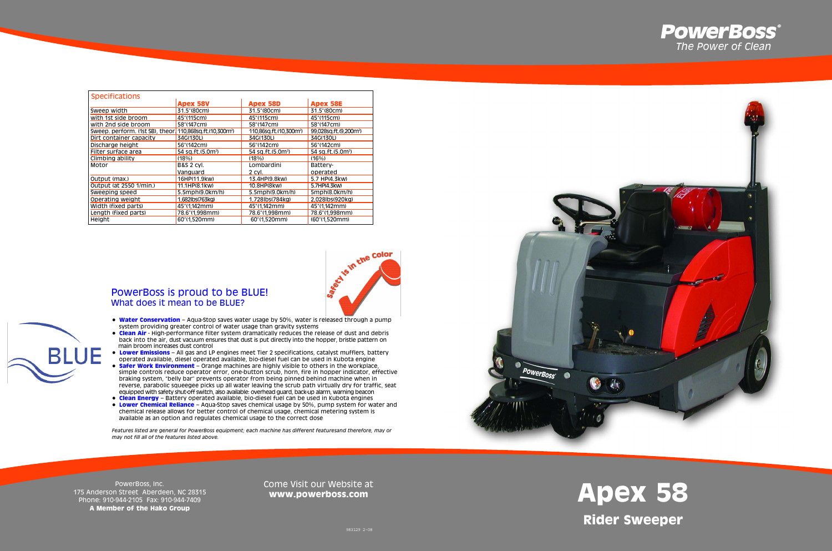# **Apex 58 Rider Sweeper**



PowerBoss, Inc. 175 Anderson Street Aberdeen, NC 28315 Phone: 910-944-2105 Fax: 910-944-7409 **A Member of the Hako Group**

**BLUE** 

#### Come Visit our Website at **www.powerboss.com**



| <b>Specifications</b>                                                 |                               |                                     |                                    |
|-----------------------------------------------------------------------|-------------------------------|-------------------------------------|------------------------------------|
|                                                                       | <b>Apex 58V</b>               | <b>Apex 58D</b>                     | <b>Apex 58E</b>                    |
| Sweep width                                                           | 31.5" (80cm)                  | 31.5"(80cm)                         | 31.5" (80cm)                       |
| with 1st side broom                                                   | 45"(115cm)                    | 45"(115cm)                          | 45"(115cm)                         |
| with 2nd side broom                                                   | 58"(147cm)                    | 58"(147cm)                          | 58"(147cm)                         |
| Sweep. perform. (1st SB), theor. 110,868sq.ft.(10,300m <sup>2</sup> ) |                               | 110,86sq.ft.(10,300m <sup>2</sup> ) | 99,028sq.ft.(9,200m <sup>2</sup> ) |
| Dirt container capacity                                               | 34G(130L)                     | 34G(130L)                           | 34G(130L)                          |
| Discharge height                                                      | 56"(142cm)                    | 56"(142cm)                          | 56"(142cm)                         |
| Filter surface area                                                   | 54 sq.ft.(5.0m <sup>2</sup> ) | 54 sq.ft.(5.0m <sup>2</sup> )       | 54 sq.ft.(5.0m <sup>2</sup> )      |
| Climbing ability                                                      | (18%)                         | (18%)                               | (16%)                              |
| Motor                                                                 | <b>B&amp;S 2 CVI.</b>         | Lombardini                          | Battery-                           |
|                                                                       | Vanguard                      | 2 CVI.                              | operated                           |
| Output (max.)                                                         | 16HP(11.9kw)                  | 13.4HP(9.8kw)                       | 5.7 HP(4.3kw)                      |
| Output (at 2550 1/min.)                                               | 11.1HP(8.1kw)                 | 10.8HP(8kw)                         | 5.7HP(4.3kw)                       |
| Sweeping speed                                                        | $5.5$ mph $(9.0$ km $/h$      | 5.5mph(9.0km/h)                     | 5mph(8.0km/h)                      |
| Operating weight                                                      | 1.682lbs(763kg)               | 1.728lbs(784kg)                     | 2.028lbs(920kg)                    |
| Width (fixed parts)                                                   | 45"(1.142mm)                  | 45"(1.142mm)                        | 45"(1.142mm)                       |
| Length (fixed parts)                                                  | 78.6"(1.998mm)                | 78.6"(1,998mm)                      | 78.6"(1,998mm)                     |
| Height                                                                | 60"(1,520mm)                  | 60"(1,520mm)                        | (60"(1,520mm)                      |



- **Water Conservation** Aqua-Stop saves water usage by 50%, water is released through a pump system providing greater control of water usage than gravity systems
- **Clean Air** High-performance filter system dramatically reduces the release of dust and debris back into the air, dust vacuum ensures that dust is put directly into the hopper, bristle pattern on main broom increases dust control
- **Lower Emissions** All gas and LP engines meet Tier 2 specifications, catalyst mufflers, battery operated available, diesel operated available, bio-diesel fuel can be used in Kubota engine • **Safer Work Environment** – Orange machines are highly visible to others in the workplace, simple controls reduce operator error, one-button scrub, horn, fire in hopper indicator, effective braking system, "belly bar" prevents operator from being pinned behind machine when in reverse, parabolic squeegee picks up all water leaving the scrub path virtually dry for traffic, seat
- equipped with safety shut-off switch, also available: overhead guard, back-up alarm, warning beacon • **Clean Energy** – Battery operated available, bio-diesel fuel can be used in Kubota engines
- **Lower Chemical Reliance** Aqua-Stop saves chemical usage by 50%, pump system for water and chemical release allows for better control of chemical usage, chemical metering system is available as an option and regulates chemical usage to the correct dose

*Features listed are general for PowerBoss equipment; each machine has different featuresand therefore, may or may not fill all of the features listed above.*

## PowerBoss is proud to be BLUE! What does it mean to be BLUE?